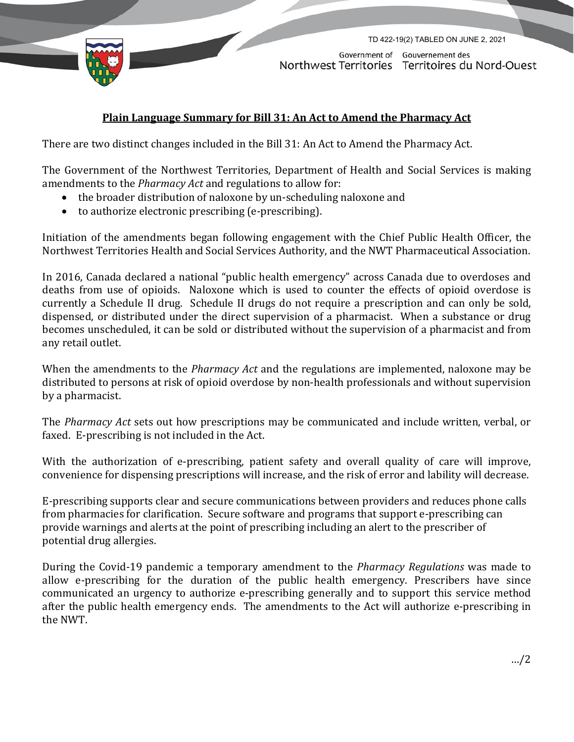

Government of Gouvernement des Northwest Territories Territoires du Nord-Ouest

TD 422-19(2) TABLED ON JUNE 2, 2021

## **Plain Language Summary for Bill 31: An Act to Amend the Pharmacy Act**

There are two distinct changes included in the Bill 31: An Act to Amend the Pharmacy Act.

The Government of the Northwest Territories, Department of Health and Social Services is making amendments to the *Pharmacy Act* and regulations to allow for:

- the broader distribution of naloxone by un-scheduling naloxone and
- to authorize electronic prescribing (e-prescribing).

Initiation of the amendments began following engagement with the Chief Public Health Officer, the Northwest Territories Health and Social Services Authority, and the NWT Pharmaceutical Association.

In 2016, Canada declared a national "public health emergency" across Canada due to overdoses and deaths from use of opioids. Naloxone which is used to counter the effects of opioid overdose is currently a Schedule II drug. Schedule II drugs do not require a prescription and can only be sold, dispensed, or distributed under the direct supervision of a pharmacist. When a substance or drug becomes unscheduled, it can be sold or distributed without the supervision of a pharmacist and from any retail outlet.

When the amendments to the *Pharmacy Act* and the regulations are implemented, naloxone may be distributed to persons at risk of opioid overdose by non-health professionals and without supervision by a pharmacist.

The *Pharmacy Act* sets out how prescriptions may be communicated and include written, verbal, or faxed. E-prescribing is not included in the Act.

With the authorization of e-prescribing, patient safety and overall quality of care will improve, convenience for dispensing prescriptions will increase, and the risk of error and lability will decrease.

E-prescribing supports clear and secure communications between providers and reduces phone calls from pharmacies for clarification. Secure software and programs that support e-prescribing can provide warnings and alerts at the point of prescribing including an alert to the prescriber of potential drug allergies.

During the Covid-19 pandemic a temporary amendment to the *Pharmacy Regulations* was made to allow e-prescribing for the duration of the public health emergency. Prescribers have since communicated an urgency to authorize e-prescribing generally and to support this service method after the public health emergency ends. The amendments to the Act will authorize e-prescribing in the NWT.